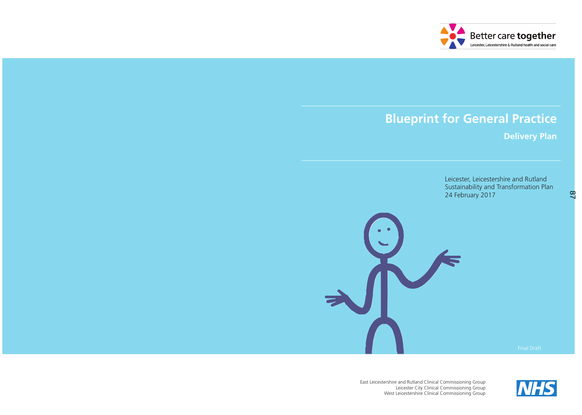East Leicestershire and Rutland Clinical Commissioning Group



Leicester City Clinical Commissioning Group West Leicestershire Clinical Commissioning Group



# **Blueprint for General Practice Delivery Plan** Leicester, Leicestershire and Rutland Sustainability and Transformation Plan 24 February 2017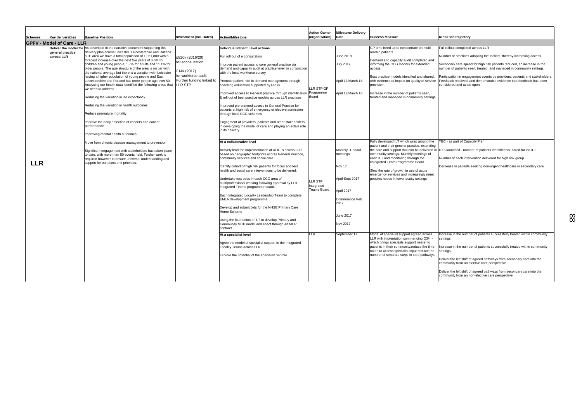Secondary care spend for high risk patients reduced, so increase in the number of patients seen, treated, and managed in community settings.

Full rollout completed across LLR

Number of practices adopting the toolkits, thereby increasing access

Participation in engagement events by providers, patients and stakeholders. Feedback received, and demonstrable evidence that feedback has been considered and acted upon

TBC - as part of Capacity Plan

- ILTs launched number of patients identified vs. cared for via ILT
- Number of each intervention delivered for high risk group
- Decrease in patients seeking non-urgent healthcare in secondary care

| <b>GPFV - Model of Care - LLR</b><br><b>Deliver the model for As described in the narrative document supporting this</b><br>GP time freed up to concentrate on multi<br><b>Individual Patient Level actions</b><br>delivery plan across Leicester, Leicestershire and Rutland<br>morbid patients.<br>general practice<br>June 2018<br>STP area we have a total population of 1,061,800 with a<br>Full roll out of e consultation<br>across LLR<br>£820k (2016/20)<br>forecast increase over the next five years of 3.6% for<br>Demand and capacity audit completed and<br>for econsultation<br>informing the CCG models for extended<br>children and young people, 1.7% for adults and 11.1% for<br>Improve patient access to core general practice via<br><b>July 2017</b><br>older people. The age structure of the area is on par with<br>demand and capacity audit at practice level, in conjunction<br>access<br>£14k (2017)<br>the national average but there is a variation with Leicester<br>with the local workforce survey<br>for workforce audit<br>having a higher population of young people and East<br>Best practice models identified and shared,<br>Further funding linked to<br>April 17/March 18<br>with evidence of impact on quality of service<br>Leicestershire and Rutland has more people age over 50.<br>Promote patient role in demand management through<br>LLR STP<br>Analysing our health data identified the following areas that<br>coaching /education supported by PPGs.<br>provision.<br>LLR STP GP<br>we need to address.<br>Programme<br>April 17/March 18<br>ncrease in the number of patients seen,<br>Improved access to General practice through identification<br>Board<br>Reducing the variation in life expectancy<br>& roll-out of best practice models across LLR practices<br>reated and managed in community settings<br>Reducing the variation in health outcomes<br>Improved pre-planned access to General Practice for<br>patients at high risk of emergency or elective admission<br>Reduce premature mortality<br>through local CCG schemes<br>Improve the early detection of cancers and cancer<br>Engagment of providers, patients and other stakeholders<br>performance<br>in developing the model of care and playing an active role<br>in its delivery<br>Improving mental health outcomes<br>Fully developed ILT which wrap around the<br>At a collaborative level<br>Move from chronic disease management to prevention<br>patient and their general practice, extending<br>Monthly IT board<br>the care and support that can be delivered in<br>Actively lead the implementation of all ILTs across LLR<br>Significant engagement with stakeholders has taken place<br>based on geographic footprints acorss General Practice,<br>meetings<br>community settings. Monthly meetings of<br>to date, with more than 50 events held. Further work is<br>each ILT and monitoring through the<br>community services and social care.<br>required however to ensure universal understanding and<br>lintegrated Team Programme Board.<br><b>LLR</b><br>support for our plans and priorities.<br>Nov 17<br>Identify cohort of high risk patients for focus and test<br>health and social care interventions to be delivered.<br>Slow the rate of growth in use of acute<br>emergency services and increasingly meet<br>Undertake test beds in each CCG area of<br>April-Sept 2017<br>peoples needs in lower acuity settings<br>LLR STP<br>multiprofessional working following approval by LLR<br>Integrated<br>Integrated Teams programme board.<br><b>Teams Board</b><br>April 2017<br>Each Integrated Locality Leadership Team to complete<br>EMLA development programme.<br>Commnence Feb<br>2017<br>Develop and submit bids for the NHSE Primary Care<br>Home Scheme<br>June 2017<br>Using the foundation of ILT to develop Primary and<br><b>Nov 2017</b><br>Community MCP model and enact through an MCP<br>contract.<br><b>LLR</b><br>At a specialist level<br>September 17<br>Model of specialist support agreed across<br>LLR with implentation commencing Q3/4 -<br>which brings specialits support nearer to<br>Agree the model of specialist support to the Integrated<br>patients in their community; reduce the time<br>Locality Teams across LLR<br>taken to access specialist input;reduice the<br>Explore the potential of the specialist GP role<br>number of separate steps in care pathways | Schemes | Key deliverables | <b>Baseline Position</b> | <b>Investment (Inc. Dates)</b> | <b>Action/Milestone</b> | <b>Action Owner</b><br>(organisation) | <b>Milestone Delivery</b><br>Date | <b>Success Measure</b> |
|---------------------------------------------------------------------------------------------------------------------------------------------------------------------------------------------------------------------------------------------------------------------------------------------------------------------------------------------------------------------------------------------------------------------------------------------------------------------------------------------------------------------------------------------------------------------------------------------------------------------------------------------------------------------------------------------------------------------------------------------------------------------------------------------------------------------------------------------------------------------------------------------------------------------------------------------------------------------------------------------------------------------------------------------------------------------------------------------------------------------------------------------------------------------------------------------------------------------------------------------------------------------------------------------------------------------------------------------------------------------------------------------------------------------------------------------------------------------------------------------------------------------------------------------------------------------------------------------------------------------------------------------------------------------------------------------------------------------------------------------------------------------------------------------------------------------------------------------------------------------------------------------------------------------------------------------------------------------------------------------------------------------------------------------------------------------------------------------------------------------------------------------------------------------------------------------------------------------------------------------------------------------------------------------------------------------------------------------------------------------------------------------------------------------------------------------------------------------------------------------------------------------------------------------------------------------------------------------------------------------------------------------------------------------------------------------------------------------------------------------------------------------------------------------------------------------------------------------------------------------------------------------------------------------------------------------------------------------------------------------------------------------------------------------------------------------------------------------------------------------------------------------------------------------------------------------------------------------------------------------------------------------------------------------------------------------------------------------------------------------------------------------------------------------------------------------------------------------------------------------------------------------------------------------------------------------------------------------------------------------------------------------------------------------------------------------------------------------------------------------------------------------------------------------------------------------------------------------------------------------------------------------------------------------------------------------------------------------------------------------------------------------------------------------------------------------------------------------------------------------------------------------------------------------------------------------------------------------------------------------------------------------------------------------------------------------------------------------------------------------------------------------------------------------------------------------------------------------|---------|------------------|--------------------------|--------------------------------|-------------------------|---------------------------------------|-----------------------------------|------------------------|
|                                                                                                                                                                                                                                                                                                                                                                                                                                                                                                                                                                                                                                                                                                                                                                                                                                                                                                                                                                                                                                                                                                                                                                                                                                                                                                                                                                                                                                                                                                                                                                                                                                                                                                                                                                                                                                                                                                                                                                                                                                                                                                                                                                                                                                                                                                                                                                                                                                                                                                                                                                                                                                                                                                                                                                                                                                                                                                                                                                                                                                                                                                                                                                                                                                                                                                                                                                                                                                                                                                                                                                                                                                                                                                                                                                                                                                                                                                                                                                                                                                                                                                                                                                                                                                                                                                                                                                                                                                                                     |         |                  |                          |                                |                         |                                       |                                   |                        |
|                                                                                                                                                                                                                                                                                                                                                                                                                                                                                                                                                                                                                                                                                                                                                                                                                                                                                                                                                                                                                                                                                                                                                                                                                                                                                                                                                                                                                                                                                                                                                                                                                                                                                                                                                                                                                                                                                                                                                                                                                                                                                                                                                                                                                                                                                                                                                                                                                                                                                                                                                                                                                                                                                                                                                                                                                                                                                                                                                                                                                                                                                                                                                                                                                                                                                                                                                                                                                                                                                                                                                                                                                                                                                                                                                                                                                                                                                                                                                                                                                                                                                                                                                                                                                                                                                                                                                                                                                                                                     |         |                  |                          |                                |                         |                                       |                                   |                        |
|                                                                                                                                                                                                                                                                                                                                                                                                                                                                                                                                                                                                                                                                                                                                                                                                                                                                                                                                                                                                                                                                                                                                                                                                                                                                                                                                                                                                                                                                                                                                                                                                                                                                                                                                                                                                                                                                                                                                                                                                                                                                                                                                                                                                                                                                                                                                                                                                                                                                                                                                                                                                                                                                                                                                                                                                                                                                                                                                                                                                                                                                                                                                                                                                                                                                                                                                                                                                                                                                                                                                                                                                                                                                                                                                                                                                                                                                                                                                                                                                                                                                                                                                                                                                                                                                                                                                                                                                                                                                     |         |                  |                          |                                |                         |                                       |                                   |                        |

### **KPIs/Plan trajectory**

Increase in the number of patients successfully treated within community settings

Increase in the number of patients successfully treated within community settings

Deliver the left shift of agreed pathways from secondary care into the community from an elective care perspective

Deliver the left shift of agreed pathways from secondary care into the community from an non-elective care perspective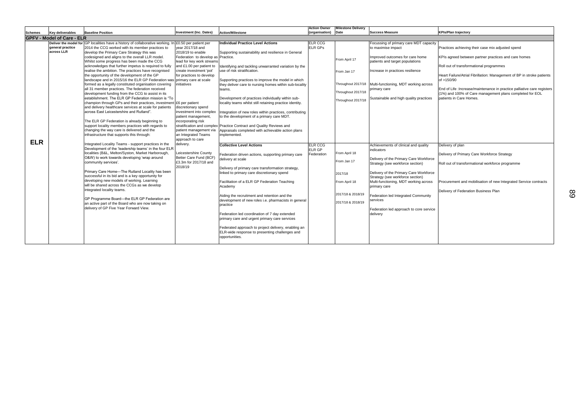| <b>Schemes</b> | <b>Key deliverables</b>           | <b>Baseline Position</b>                                                                                                                                                                                                                                                                                                                                                                                                                                                                                                                                                                                                                                                                                                                                                                                                                                                                                                                                                                                                                                                                                                                                                                                                                                                                                                                                                                                                                                                                                                                                                                                                                                                                                                                                                                          | <b>Investment (Inc. Dates)</b>                                                                                                                                                                                                                                                                                                                                                                                                                                                     | <b>Action/Milestone</b>                                                                                                                                                                                                                                                                                                                                                                                                                                                                                                                                                                                                                                                                                                                                                                                                                                                                                                                                                                                                                                                                                                                                                                                                                                                                                              | <b>Action Owner</b><br>(organisation)                               | <b>Milestone Delivery</b><br><b>Date</b>                                                                                                                                                             | <b>Success Measure</b>                                                                                                                                                                                                                                                                                                                                                                                                                                                                                                                                                                                                                                         |
|----------------|-----------------------------------|---------------------------------------------------------------------------------------------------------------------------------------------------------------------------------------------------------------------------------------------------------------------------------------------------------------------------------------------------------------------------------------------------------------------------------------------------------------------------------------------------------------------------------------------------------------------------------------------------------------------------------------------------------------------------------------------------------------------------------------------------------------------------------------------------------------------------------------------------------------------------------------------------------------------------------------------------------------------------------------------------------------------------------------------------------------------------------------------------------------------------------------------------------------------------------------------------------------------------------------------------------------------------------------------------------------------------------------------------------------------------------------------------------------------------------------------------------------------------------------------------------------------------------------------------------------------------------------------------------------------------------------------------------------------------------------------------------------------------------------------------------------------------------------------------|------------------------------------------------------------------------------------------------------------------------------------------------------------------------------------------------------------------------------------------------------------------------------------------------------------------------------------------------------------------------------------------------------------------------------------------------------------------------------------|----------------------------------------------------------------------------------------------------------------------------------------------------------------------------------------------------------------------------------------------------------------------------------------------------------------------------------------------------------------------------------------------------------------------------------------------------------------------------------------------------------------------------------------------------------------------------------------------------------------------------------------------------------------------------------------------------------------------------------------------------------------------------------------------------------------------------------------------------------------------------------------------------------------------------------------------------------------------------------------------------------------------------------------------------------------------------------------------------------------------------------------------------------------------------------------------------------------------------------------------------------------------------------------------------------------------|---------------------------------------------------------------------|------------------------------------------------------------------------------------------------------------------------------------------------------------------------------------------------------|----------------------------------------------------------------------------------------------------------------------------------------------------------------------------------------------------------------------------------------------------------------------------------------------------------------------------------------------------------------------------------------------------------------------------------------------------------------------------------------------------------------------------------------------------------------------------------------------------------------------------------------------------------------|
|                | <b>GPFV - Model of Care - ELR</b> |                                                                                                                                                                                                                                                                                                                                                                                                                                                                                                                                                                                                                                                                                                                                                                                                                                                                                                                                                                                                                                                                                                                                                                                                                                                                                                                                                                                                                                                                                                                                                                                                                                                                                                                                                                                                   |                                                                                                                                                                                                                                                                                                                                                                                                                                                                                    |                                                                                                                                                                                                                                                                                                                                                                                                                                                                                                                                                                                                                                                                                                                                                                                                                                                                                                                                                                                                                                                                                                                                                                                                                                                                                                                      |                                                                     |                                                                                                                                                                                                      |                                                                                                                                                                                                                                                                                                                                                                                                                                                                                                                                                                                                                                                                |
| <b>ELR</b>     | general practice<br>across LLR    | Deliver the model for GP localities have a history of collaborative working. In £0.50 per patient per<br>2014 the CCG worked with its member practices to<br>develop the Primary Care Strategy this was<br>codesigned and aligns to the overall LLR model.<br>Whilst some progress has been made the CCG<br>acknowledges that further impetus is required to fully<br>realise the ambition. The practices have recognised<br>the opportunity of the development of the GP<br>landscape and in 2015/16 the ELR GP Federation was primary care at scale<br>formed as a legally constituted organisation covering<br>all 31 member practices. The federation received<br>development funding from the CCG to assist in its<br>establishment. The ELR GP Federation mission is "To<br>champion through GPs and their practices, investment £6 per patient<br>and delivery healthcare services at scale for patients<br>across East Leicestershire and Rutland".<br>The ELR GP Federation is already beginning to<br>support locality members practices with regards to<br>changing the way care is delivered and the<br>infrastructure that supports this through:<br>Integrated Locality Teams - support practices in the<br>Development of the 'leadership teams' in the four ELR<br>localities (B&L, Melton/Syston, Market Harborough,<br>O&W) to work towards developing 'wrap around<br>community services'.<br>Primary Care Home-The Rutland Locality has been<br>successful in its bid and is a key opportunity for<br>developing new models of working. Learning<br>will be shared across the CCGs as we develop<br>integrated locality teams.<br>GP Programme Board-the ELR GP Federation are<br>an active part of the Board who are now taking on<br>delivery of GP Five Year Forward View. | vear 2017/18 and<br>2018/19 to enable<br>Federation to develop as Practice.<br>lead for key work streams<br>and £1.00 per patient to<br>create investment 'pot'<br>for practices to develop<br>initiatives<br>discretionary spend<br>investment into complex<br>patient management,<br>incorporating risk<br>patient management via<br>an Integrated Teams<br>approach to care<br>delivery.<br>Leicestershire County<br>Better Care Fund (BCF)<br>£3.3m for 2017/18 and<br>2018/19 | <b>Individual Practice Level Actions</b><br>Supporting sustainability and resilience in General<br>Identifying and tackling unwarranted variation by the<br>use of risk stratification.<br>Supporting practices to improve the model in which<br>they deliver care to nursing homes within sub-locality<br>teams.<br>Development of practices individually within sub-<br>locality teams whilst still retaining practice identity.<br>Integration of new roles within practices, contributing<br>to the development of a primary care MDT.<br>stratification and complex Practice Contract and Quality Reviews and<br>Appraisals completed with achievable action plans<br>implemented.<br><b>Collective Level Actions</b><br>Federation driven actions, supporting primary care<br>delivery at scale<br>Delivery of primary care transformation strategy,<br>linked to primary care discretionary spend<br>Facilitation of a ELR GP Federation Teaching<br>Academy<br>Aiding the recruitment and retention and the<br>development of new roles i.e. pharmacists in general<br>practice<br>Federation led coordination of 7 day extended<br>primary care and urgent primary care services<br>Federated approach to project delivery, enabling an<br>ELR-wide response to presenting challenges and<br>opportunities. | <b>ELR CCG</b><br><b>ELR GPs</b><br>ELR CCG<br>ELR GP<br>Federation | From April 17<br>From Jan 17<br>Throughout 2017/18<br>Throughout 2017/18<br>Throughout 2017/18<br>From April 18<br>From Jan 17<br>2017/18<br>From April 18<br>2017/18 & 2018/19<br>2017/18 & 2018/19 | Focussing of primary care MDT capacity<br>to maximise impact<br>Improved outcomes for care home<br>patients and target populations<br>Increase in practices resilience<br>Multi-functioning, MDT working across<br>primary care<br>Sustainable and high quality practices<br>Achievements of clinical and quality<br>indicators<br>Delivery of the Primary Care Workforce<br>Strategy (see workforce section)<br>Delivery of the Primary Care Workforce<br>Strategy (see workforce section)<br>Multi-functioning, MDT working across<br>primary care<br>Federation led Integrated Community<br>services<br>Federation led approach to core service<br>delivery |

# **KPIs/Plan trajectory** Practices achieving their case mix adjusted spend KPIs agreed between partner practices and care homes Roll out of transformational programmes Heart Failure/Atrial Fibrillation: Management of BP in stroke patients of >150/90 End of Life :Increase/maintenance in practice palliative care registers (1%) and 100% of Care management plans completed for EOL patients in Care Homes.

Delivery of plan

Delivery of Primary Care Workforce Strategy

Roll out of transformational workforce programme

Procurement and mobilisation of new Integrated Service contracts

Delivery of Federation Business Plan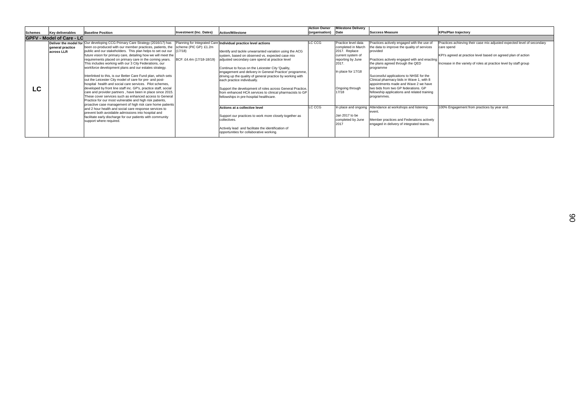|                |                                   |                                                                                                                                                                                                                                                                                                                                                                                                                                                                                                                                                                                                                                                                                                                                                                                                                                                                                                                                                                                                                                                                                                                                                                                         |                                                               |                                                                                                                                                                                                                                                                                                                                                                                                                                                                                                                                                                                                                                                                                                                                                                                                                               | <b>Action Owner</b> | <b>Milestone Delivery</b>                                                                                                                                                                                                              |                                                                                                                                                                                                                                                                                                                                                                                                                                                                                                                                                                                         |                                                                                                             |
|----------------|-----------------------------------|-----------------------------------------------------------------------------------------------------------------------------------------------------------------------------------------------------------------------------------------------------------------------------------------------------------------------------------------------------------------------------------------------------------------------------------------------------------------------------------------------------------------------------------------------------------------------------------------------------------------------------------------------------------------------------------------------------------------------------------------------------------------------------------------------------------------------------------------------------------------------------------------------------------------------------------------------------------------------------------------------------------------------------------------------------------------------------------------------------------------------------------------------------------------------------------------|---------------------------------------------------------------|-------------------------------------------------------------------------------------------------------------------------------------------------------------------------------------------------------------------------------------------------------------------------------------------------------------------------------------------------------------------------------------------------------------------------------------------------------------------------------------------------------------------------------------------------------------------------------------------------------------------------------------------------------------------------------------------------------------------------------------------------------------------------------------------------------------------------------|---------------------|----------------------------------------------------------------------------------------------------------------------------------------------------------------------------------------------------------------------------------------|-----------------------------------------------------------------------------------------------------------------------------------------------------------------------------------------------------------------------------------------------------------------------------------------------------------------------------------------------------------------------------------------------------------------------------------------------------------------------------------------------------------------------------------------------------------------------------------------|-------------------------------------------------------------------------------------------------------------|
| <b>Schemes</b> | Key deliverables                  | <b>Baseline Position</b>                                                                                                                                                                                                                                                                                                                                                                                                                                                                                                                                                                                                                                                                                                                                                                                                                                                                                                                                                                                                                                                                                                                                                                | <b>Investment (Inc. Dates)</b>                                | <b>Action/Milestone</b>                                                                                                                                                                                                                                                                                                                                                                                                                                                                                                                                                                                                                                                                                                                                                                                                       | (organisation) Date |                                                                                                                                                                                                                                        | <b>Success Measure</b>                                                                                                                                                                                                                                                                                                                                                                                                                                                                                                                                                                  | <b>KPIs/Plan trajectory</b>                                                                                 |
|                | <b>IGPFV - Model of Care - LC</b> |                                                                                                                                                                                                                                                                                                                                                                                                                                                                                                                                                                                                                                                                                                                                                                                                                                                                                                                                                                                                                                                                                                                                                                                         |                                                               |                                                                                                                                                                                                                                                                                                                                                                                                                                                                                                                                                                                                                                                                                                                                                                                                                               |                     |                                                                                                                                                                                                                                        |                                                                                                                                                                                                                                                                                                                                                                                                                                                                                                                                                                                         |                                                                                                             |
| LC             | general practice<br>across LLR    | <b>Deliver the model for Our developing CCG Primary Care Strategy (2016/17) has</b><br>been co-produced with our member practices, patients, the<br>public and our stakeholders. This plan helps to set out our<br>future vision for primary care, detailing how we will meet the<br>requirements placed on primary care in the coming years.<br>This includes working with our 3 City Federations, our<br>workforce development plans and our estates strategy.<br>Interlinked to this, is our Better Care Fund plan, which sets<br>out the Leicester City model of care for pre- and post-<br>hospital health and social care services. Pilot schemes,<br>developed by front line staff inc. GP's, practice staff, social<br>care and provider partners, have been in place since 2015.<br>These cover services such as enhanced access to General<br>Practice for our most vulnerable and high risk patients,<br>proactive case management of high risk care home patients<br>and 2 hour health and social care response services to<br>prevent both avoidable admissions into hospital and<br>facilitate early discharge for our patients with community<br>support where required. | scheme (PIC GP): £1.2m<br>(17/18)<br>BCF: £4.4m (17/18-18/19) | Planning for Integrated Care Individual practice level actions<br>Identify and tackle unwarranted variation using the ACG<br>system, based on observed vs. expected case mix<br>adjusted secondary care spend at practice level<br>Continue to focus on the Leicester City 'Quality,<br>engagement and delivery in General Practice' programme,<br>driving up the quality of general practice by working with<br>each practice individually.<br>Support the development of roles across General Practice,<br>from enhanced HCA services to clinical pharmacists to GP<br>fellowships in pre-hospital healthcare.<br>Actions at a collective level<br>Support our practices to work more closely together as<br>collectives.<br>Actively lead and facilitate the identification of<br>opportunities for collaborative working. | LC CCG<br>LC CCG    | Practice level data<br>completed in March<br>2017. Replace<br>current system of<br>reporting by June<br>2017.<br>In place for 17/18<br>Ongoing through<br>17/18<br>In place and ongoing<br>Jan 2017 to be<br>completed by June<br>2017 | Practices actively engaged with the use of<br>the data to improve the quality of services<br>provided<br>Practices actively engaged with and enacting<br>the plans agreed through the QED<br>programme<br>Successful applications to NHSE for the<br>Clinical pharmacy bids in Wave 1, with 8<br>appointments made and Wave 2 we have<br>two bids from two GP federations. GP<br>fellowship applications and related training<br>programmes.<br>Attendance at workshops and listening<br>event<br>Member practices and Federations actively<br>engaged in delivery of integrated teams. | Practices achieving t<br>care spend<br>KPI's agreed at pract<br>Increase in the variet<br>100% Engagement f |

| <b>KPIs/Plan trajectory</b>                                                           |
|---------------------------------------------------------------------------------------|
|                                                                                       |
| Practices achieving their case mix adjusted expected level of secondary<br>care spend |
| KPI's agreed at practice level based on agreed plan of action                         |
| Increase in the variety of roles at practice level by staff group                     |
|                                                                                       |
|                                                                                       |
|                                                                                       |
|                                                                                       |
|                                                                                       |
| 100% Engagement from practices by year end.                                           |
|                                                                                       |
|                                                                                       |
|                                                                                       |
|                                                                                       |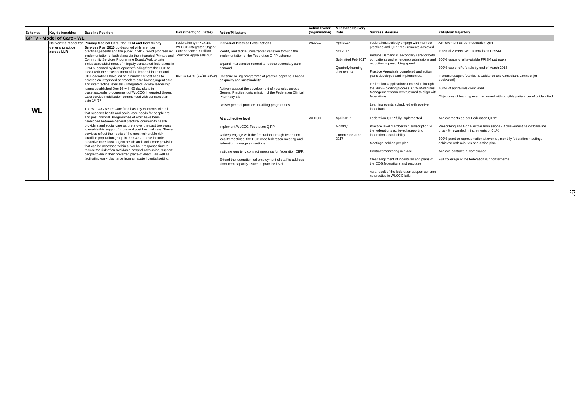| <b>Success Measure</b><br>Investment (Inc. Dates)<br>(organisation) Date<br><b>Action/Milestone</b><br><b>Key deliverables</b><br><b>Baseline Position</b><br><b>Schemes</b><br><b>GPFV - Model of Care - WL</b><br>Federation QIPP 17/18.<br><b>WLCCG</b><br>April2017<br>Federations actively engage with member<br>Deliver the model for Primary Medical Care Plan 2014 and Community<br>Individual Practice Level actions:<br><b>WLCCG</b> Integrated Urgent<br>practices and QIPP requirements achieved<br>Services Plan 2015 co-designed with member<br>general practice<br>Care service 3.7 million<br>Set 2017<br>practices, patients and the public in 2014. Good progress re:<br>Identify and tackle unwarranted variation through the<br>across LLR<br>Reduce Demand in secondary care for both<br>.Practice Appraisals 40k.<br>implementation of both plans via the Integrated Primary and<br>implementation of the Federation QIPP scheme.<br>out patients and emergency admissions and<br>Submitted Feb 2017<br>Community Services Programme Board. Work to date<br>reduction in prescribing spend<br>includes: establishmnet of 4 legally constituted federations in<br>Expand interpractice referral to reduce secondary care<br>Quarterly learning<br>2014 supported by development funding from the CCG to<br>demand<br>Practice Appraisals completed and action<br>time events<br>assist with the developement of the leadership team and<br>BCF: £4,3 m (17/18-18/19) Continue rolling programme of practice appraisals based<br>plans developed and implemented.<br>OD: Federations have led on a number of test beds to<br>equivalent)<br>on quality and sustainability<br>develop an integrtaed approach to care homes, urgent care<br>Federations application successful through<br>and interpractice referrals:3 Integrated Locality leadership<br>the NHSE bidding process, CCG Medicines<br>teams established Dec 16 with 90 day plans in<br>Actively support the development of new roles across<br>Management team rerstructured to align with<br>place; succesful procurement of WLCCG Integrated Urgent<br>General Practice, onto mission of the Federation Clinical<br>federations<br>Care service, mobilsation commenced with contract start<br>Pharmacy Bid.<br>date 1/4/17.<br>Learning events scheduled with postive<br>Deliver general practice upskilling programmes<br>feeedback<br>The WLCCG Better Care fund has key elements within it<br><b>WL</b><br>that supports health and social care needs for people pre<br>and post hospital. Programmes of work have been<br>Federation QIPP fully implemented<br><b>WLCCG</b><br>April 2017<br>At a collective level:<br>developed between general practice, community health<br>providers and social care partners over the past two years<br>Monthly<br>Practice level membership subscription to<br>Implement WLCCG Federation QIPP<br>to enable this support for pre and post hospital care. These<br>the federations achieved supporting<br>services reflect the needs of the most vulnerable risk<br>federation sustainability<br>Commence June<br>Actively engage with the federation through federation<br>stratified population group in the CCG. These include<br>2017<br>locality meetings, the CCG wide federation meeting and<br>proactive care, local urgent health and social care provision<br>Meetings held as per plan<br>federation managers meetings<br>that can be accessed within a two hour response time to<br>reduce the risk of an avoidable hospital admission, support<br>Contract monitoring in place<br>Instigate quarterly contract meetings for federation QIPP. |  |                                                             |  | <b>Action Owner</b> | <b>Milestone Delivery</b> |                                                                                                                                                                                                                                                                                                                                        |
|---------------------------------------------------------------------------------------------------------------------------------------------------------------------------------------------------------------------------------------------------------------------------------------------------------------------------------------------------------------------------------------------------------------------------------------------------------------------------------------------------------------------------------------------------------------------------------------------------------------------------------------------------------------------------------------------------------------------------------------------------------------------------------------------------------------------------------------------------------------------------------------------------------------------------------------------------------------------------------------------------------------------------------------------------------------------------------------------------------------------------------------------------------------------------------------------------------------------------------------------------------------------------------------------------------------------------------------------------------------------------------------------------------------------------------------------------------------------------------------------------------------------------------------------------------------------------------------------------------------------------------------------------------------------------------------------------------------------------------------------------------------------------------------------------------------------------------------------------------------------------------------------------------------------------------------------------------------------------------------------------------------------------------------------------------------------------------------------------------------------------------------------------------------------------------------------------------------------------------------------------------------------------------------------------------------------------------------------------------------------------------------------------------------------------------------------------------------------------------------------------------------------------------------------------------------------------------------------------------------------------------------------------------------------------------------------------------------------------------------------------------------------------------------------------------------------------------------------------------------------------------------------------------------------------------------------------------------------------------------------------------------------------------------------------------------------------------------------------------------------------------------------------------------------------------------------------------------------------------------------------------------------------------------------------------------------------------------------------------------------------------------------------------------------------------------------------------------------------------------------------------------------------------------------------------------------------------------------------------------------------------------------------------------------------------------|--|-------------------------------------------------------------|--|---------------------|---------------------------|----------------------------------------------------------------------------------------------------------------------------------------------------------------------------------------------------------------------------------------------------------------------------------------------------------------------------------------|
|                                                                                                                                                                                                                                                                                                                                                                                                                                                                                                                                                                                                                                                                                                                                                                                                                                                                                                                                                                                                                                                                                                                                                                                                                                                                                                                                                                                                                                                                                                                                                                                                                                                                                                                                                                                                                                                                                                                                                                                                                                                                                                                                                                                                                                                                                                                                                                                                                                                                                                                                                                                                                                                                                                                                                                                                                                                                                                                                                                                                                                                                                                                                                                                                                                                                                                                                                                                                                                                                                                                                                                                                                                                                                       |  |                                                             |  |                     |                           | <b>KPIs/Plan trajectory</b>                                                                                                                                                                                                                                                                                                            |
|                                                                                                                                                                                                                                                                                                                                                                                                                                                                                                                                                                                                                                                                                                                                                                                                                                                                                                                                                                                                                                                                                                                                                                                                                                                                                                                                                                                                                                                                                                                                                                                                                                                                                                                                                                                                                                                                                                                                                                                                                                                                                                                                                                                                                                                                                                                                                                                                                                                                                                                                                                                                                                                                                                                                                                                                                                                                                                                                                                                                                                                                                                                                                                                                                                                                                                                                                                                                                                                                                                                                                                                                                                                                                       |  |                                                             |  |                     |                           |                                                                                                                                                                                                                                                                                                                                        |
| facilitating early discharge from an acute hospital setting.<br>Clear allignment of incentives and plans of<br>Extend the federation led employment of staff to address<br>the CCG, federations and practices.                                                                                                                                                                                                                                                                                                                                                                                                                                                                                                                                                                                                                                                                                                                                                                                                                                                                                                                                                                                                                                                                                                                                                                                                                                                                                                                                                                                                                                                                                                                                                                                                                                                                                                                                                                                                                                                                                                                                                                                                                                                                                                                                                                                                                                                                                                                                                                                                                                                                                                                                                                                                                                                                                                                                                                                                                                                                                                                                                                                                                                                                                                                                                                                                                                                                                                                                                                                                                                                                        |  | people to die in their preferred place of death, as well as |  |                     |                           | Achievement as per<br>100% of 2 Week Wa<br>100% usage of all av<br>100% use of eReferr<br>Increase usage of Ad<br>100% of appraisals o<br>Objectives of learning<br>Achievements as per<br>Prescribing and Non<br>plus 4% rewarded in<br>100% practice repres<br>achieved with minute<br>Achieve contractual<br>Full coverage of the t |

| <b>KPIs/Plan trajectory</b>                                                                                    |
|----------------------------------------------------------------------------------------------------------------|
|                                                                                                                |
| Achievement as per Federation QIPP:                                                                            |
| 100% of 2 Week Wait referrals on PRISM                                                                         |
| 100% usage of all available PRISM pathways                                                                     |
| 100% use of eReferrals by end of March 2018                                                                    |
| Increase usage of Advice & Guidance and Consultant Connect (or<br>equivalent)                                  |
| 100% of appraisals completed                                                                                   |
| Objectives of learning event achieved with tangible patient benefits identified                                |
|                                                                                                                |
| Achievements as per Federation QIPP:                                                                           |
| Prescribing and Non Elective Admissions - Achievement below baseline<br>plus 4% rewarded in increments of 0.1% |
| 100% practice representation at events, monthly federation meetings<br>achieved with minutes and action plan   |
| Achieve contractual compliance                                                                                 |
| Full coverage of the federation support scheme                                                                 |
|                                                                                                                |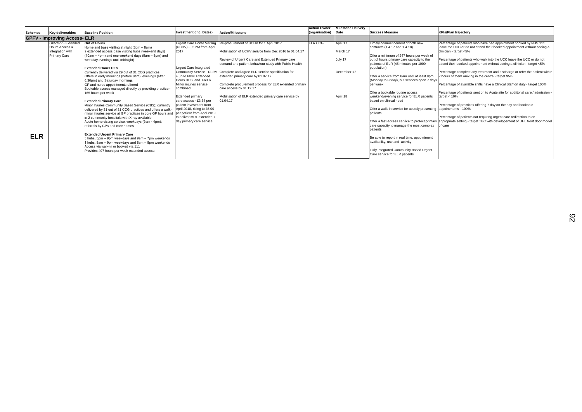Percentage of patients who have had appointment booked by NHS 111 leave the UCC or do not attend their booked appointment without seeing a clinician - target <5%

Percentage of patients who walk into the UCC leave the UCC or do not attend their booked appointment without seeing a clinician - target <5%

Percentage complete any treatment and discharge or refer the patient within 2 hours of them arriving in the centre - target 95%

Percentage of available shifts have a Clinical Staff on duty - target 100%

|                |                                                                                |                                                                                                                                                                                                                                                                                                                                                                                                                                                                                                                                                                                                                                                           |                                                                                                                                                                                       |                                                                                                                                                                                                                                                                                                                                                                                                                      | <b>Action Owner</b> | <b>Milestone Delivery</b>                      |                                                                                                                                                                                                                                                                                                                                                                                                                                            |
|----------------|--------------------------------------------------------------------------------|-----------------------------------------------------------------------------------------------------------------------------------------------------------------------------------------------------------------------------------------------------------------------------------------------------------------------------------------------------------------------------------------------------------------------------------------------------------------------------------------------------------------------------------------------------------------------------------------------------------------------------------------------------------|---------------------------------------------------------------------------------------------------------------------------------------------------------------------------------------|----------------------------------------------------------------------------------------------------------------------------------------------------------------------------------------------------------------------------------------------------------------------------------------------------------------------------------------------------------------------------------------------------------------------|---------------------|------------------------------------------------|--------------------------------------------------------------------------------------------------------------------------------------------------------------------------------------------------------------------------------------------------------------------------------------------------------------------------------------------------------------------------------------------------------------------------------------------|
| <b>Schemes</b> | <b>Key deliverables</b>                                                        | <b>Baseline Position</b>                                                                                                                                                                                                                                                                                                                                                                                                                                                                                                                                                                                                                                  | <b>Investment (Inc. Dates)</b>                                                                                                                                                        | Action/Milestone                                                                                                                                                                                                                                                                                                                                                                                                     | (organisation)      | Date                                           | <b>Success Measure</b>                                                                                                                                                                                                                                                                                                                                                                                                                     |
|                | <b>GPFV - Improving Access- ELR</b>                                            |                                                                                                                                                                                                                                                                                                                                                                                                                                                                                                                                                                                                                                                           |                                                                                                                                                                                       |                                                                                                                                                                                                                                                                                                                                                                                                                      |                     |                                                |                                                                                                                                                                                                                                                                                                                                                                                                                                            |
|                | GP5YFV - Extended<br>Hours Access &<br>Integration with<br><b>Primary Care</b> | <b>Out of Hours</b><br>Home and base visiting at night (8pm - 8am)<br>2 extended access base visiting hubs (weekend days)<br>(10am – 4pm) and one weekend days (9am – 8pm) and<br>weekday evenings until midnight)<br><b>Extended Hours DES</b><br>Currently delivered via 29 out of 31 CCG practices<br>Offers in early mornings (before 8am), evenings (after<br>6.30pm) and Saturday mornings<br>GP and nurse appointments offered<br>Bookable access managed directly by providing practice -                                                                                                                                                         | <b>Urgent Care Home Visiting</b><br>(UCHV) - £2.2M from April<br>2017<br>Urgent Care Integrated<br>+ up to 600K Extended<br>Hours DES and £600k<br>Minor injuries service<br>combined | Re-procurement of UCHV for 1 April 2017<br>Mobilisation of UCHV serivce from Dec 2016 to 01.04.17<br>Review of Urgent Care and Extended Primary care<br>demand and patient behaviour study with Public Health<br>Community Service - £1.9M Complete and agree ELR service specification for<br>extended primary care by 01.07.17<br>Complete procurement process for ELR extended primary<br>care access by 01.12.17 | ELR CCG             | April 17<br>March 17<br>July 17<br>December 17 | Timely commencement of both new<br>contracts (1.4.17 and 1.4.18)<br>Offer a minimum of 247 hours per week of<br>out of hours primary care capacity to the<br>patients of ELR (45 minutes per 1000<br>population)<br>Offer a service from 8am until at least 8pm<br>Monday to Friday), but services open 7 days<br>per week                                                                                                                 |
| <b>ELR</b>     |                                                                                | 165 hours per week<br><b>Extended Primary Care</b><br>Minor Injuries Community Based Service (CBS); currently<br>delivered by 31 out of 31 CCG practices and offers a walk-in April 2018, rising to £6.00<br>minor injuries service at GP practices in core GP hours and<br>in 2 community hospitals with X-ray available<br>Acute home visting service, weekdays (9am - 4pm);<br>referrals by GPs and care homes<br><b>Extended Urgent Primary Care</b><br>3 hubs, 5pm – 9pm weekdays and 9am – 7pm weekends<br>1 hubs, 8am - 9pm weekdays and 8am - 8pm weekends<br>Access via walk-in or booked via 111<br>Provides 407 hours per week extended access | <b>Extended primary</b><br>care access - £3.34 per<br>patient investment from<br>per patient from April 2019<br>to deliver MDT extended 7<br>day primary care service                 | Mobilisation of ELR extended primary care service by<br>01.04.17                                                                                                                                                                                                                                                                                                                                                     |                     | April 18                                       | Offer a bookable routine access<br>weekend/evening service for ELR patients<br>based on clinical need<br>Offer a walk-in service for acutely presenting<br>patients<br>Offer a fast-access service to protect primary<br>care capacity to manage the most complex<br>patients<br>Be able to report in real time, appointment<br>availability, use and activity<br>Fully integrated Community Based Urgent<br>Care service for ELR patients |

### **KPIs/Plan trajectory**

Percentage of patients sent on to Acute site for addiitonal care / admission target < 10%

Percentage of practices offering 7 day on the day and bookable appointments - 100%

Percentage of patients not requiring urgent care redirection to an appropriate setting - target TBC with developement of UHL front door model of care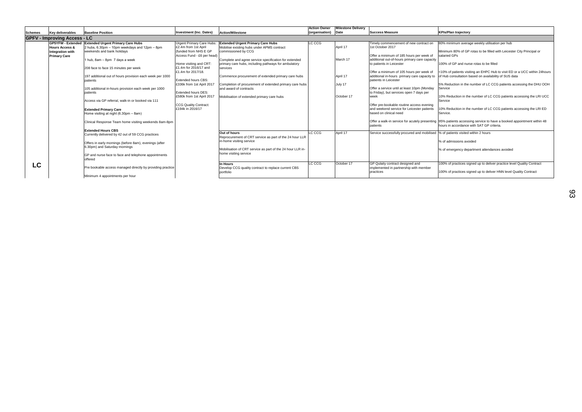|         |                                     |                                                            |                                  |                                                            | <b>Action Owner</b> | <b>Milestone Delivery</b> |                                                                                   |                                                                                                                      |
|---------|-------------------------------------|------------------------------------------------------------|----------------------------------|------------------------------------------------------------|---------------------|---------------------------|-----------------------------------------------------------------------------------|----------------------------------------------------------------------------------------------------------------------|
| Schemes | Key deliverables                    | <b>Baseline Position</b>                                   | Investment (Inc. Dates)          | Action/Milestone                                           | (organisation) Date |                           | <b>Success Measure</b>                                                            | <b>KPIs/Plan trajectory</b>                                                                                          |
|         | <b>GPFV - Improving Access - LC</b> |                                                            |                                  |                                                            |                     |                           |                                                                                   |                                                                                                                      |
|         | <b>GP5YFW - Extended</b>            | <b>Extended Urgent Primary Care Hubs</b>                   | <b>Urgent Primary Care Hubs:</b> | <b>Extended Urgent Primary Care Hubs</b>                   | LC CCG              |                           | Timely commencement of new contract on                                            | 80% minimum average weekly utilisation per hub                                                                       |
|         | <b>Hours Access &amp;</b>           | 2 hubs, 6.30pm - 10pm weekdays and 12pm - 8pm              | £2.4m from 1st April             | Mobilise existing hubs under APMS contract                 |                     | April 17                  | 1st October 2017                                                                  |                                                                                                                      |
|         | Integration with                    | weekends and bank holidays                                 | funded from NHS E GP             | commissioned by CCG                                        |                     |                           |                                                                                   | Minimum 80% of GP rotas to be filled with Leicester City Principal or                                                |
|         | <b>Primary Care</b>                 |                                                            | Access Fund - £6 per head)       |                                                            |                     |                           | Offer a minimum of 185 hours per week of                                          | salaried GPs                                                                                                         |
|         |                                     | 1 hub, 8am - 8pm 7 days a week                             |                                  | Complete and agree service specification for extended      |                     | March 17                  | additional out-of-hours primary care capacity                                     |                                                                                                                      |
|         |                                     |                                                            | Home visiting and CRT:           | primary care hubs, including pathways for ambulatory       |                     |                           | to patients in Leicester                                                          | 100% of GP and nurse rotas to be filled                                                                              |
|         |                                     | 208 face to face 15 minutes per week                       | £1.4m for 2016/17 and            | services                                                   |                     |                           |                                                                                   |                                                                                                                      |
|         |                                     |                                                            | £1.4m for 2017/18.               |                                                            |                     |                           | Offer a minimum of 105 hours per week of                                          | <10% of patients visiting an EHPC Hub to visit ED or a UCC within 24 hours                                           |
|         |                                     | 197 additional out of hours provision each week per 1000   |                                  | Commence procurement of extended primary care hubs         |                     | April 17                  | additional in-hours primary care capacity to                                      | of Hub consultation based on availability of SUS data                                                                |
|         |                                     | patients                                                   | <b>Extended hours CBS:</b>       |                                                            |                     |                           | patients in Leicester                                                             |                                                                                                                      |
|         |                                     |                                                            | £336k from 1st April 2017        | Completion of procurement of extended primary care hubs    |                     | July 17                   |                                                                                   | 5% Reduction in the number of LC CCG patients accessing the DHU OOH                                                  |
|         |                                     | 105 additional in-hours provision each week per 1000       |                                  | and award of contracts                                     |                     |                           | Offer a service until at least 10pm (Monday                                       | Service                                                                                                              |
|         |                                     | patients                                                   | <b>Extended hours DES:</b>       |                                                            |                     |                           | to Friday), but services open 7 days per                                          |                                                                                                                      |
|         |                                     |                                                            | £580k from 1st April 2017        | Mobilisation of extended primary care hubs                 |                     | October 17                | week                                                                              | 10% Reduction in the number of LC CCG patients accessing the LRI UCC                                                 |
|         |                                     | Access via GP referral, walk-in or booked via 111          |                                  |                                                            |                     |                           |                                                                                   | Service                                                                                                              |
|         |                                     |                                                            | <b>CCG Quality Contract:</b>     |                                                            |                     |                           | Offer pre-bookable routine access evening                                         |                                                                                                                      |
|         |                                     | <b>Extended Primary Care</b>                               | £194k in 2016/17                 |                                                            |                     |                           | and weekend service for Leicester patients                                        | 10% Reduction in the number of LC CCG patients accessing the LRI ED                                                  |
|         |                                     | Home visiting at night (6.30pm - 8am)                      |                                  |                                                            |                     |                           | based on clinical need                                                            | Service.                                                                                                             |
|         |                                     | Clinical Response Team home visiting weekends 8am-8pm      |                                  |                                                            |                     |                           |                                                                                   | Offer a walk-in service for acutely presenting 95% patients accessing service to have a booked appointment within 48 |
|         |                                     |                                                            |                                  |                                                            |                     |                           | patients                                                                          | hours in accordance with SAT GP criteria.                                                                            |
|         |                                     | <b>Extended Hours CBS</b>                                  |                                  |                                                            |                     |                           |                                                                                   |                                                                                                                      |
|         |                                     | Currently delivered by 42 out of 59 CCG practices          |                                  | Out of hours                                               | LC CCG              | April 17                  | Service successfully procured and mobilised  % of patients visited within 2 hours |                                                                                                                      |
|         |                                     |                                                            |                                  | Reprocurement of CRT service as part of the 24 hour LLR    |                     |                           |                                                                                   |                                                                                                                      |
|         |                                     | Offers in early mornings (before 8am), evenings (after     |                                  | in-home visiting service                                   |                     |                           |                                                                                   | % of admissions avoided                                                                                              |
|         |                                     | 3.30pm) and Saturday mornings                              |                                  |                                                            |                     |                           |                                                                                   |                                                                                                                      |
|         |                                     |                                                            |                                  | Mobilisation of CRT service as part of the 24 hour LLR in- |                     |                           |                                                                                   | % of emergency department attendances avoided                                                                        |
|         |                                     | GP and nurse face to face and telephone appointments       |                                  | home visiting service                                      |                     |                           |                                                                                   |                                                                                                                      |
|         |                                     | offered                                                    |                                  |                                                            |                     |                           |                                                                                   |                                                                                                                      |
| LC      |                                     |                                                            |                                  | In Hours                                                   | LC CCG              | October 17                | GP Qulaity contract designed and                                                  | 100% of practices signed up to deliver practice level Quality Contract                                               |
|         |                                     | Pre bookable access managed directly by providing practice |                                  | Develop CCG quality contract to replace current CBS        |                     |                           | implemented in partnership with member                                            |                                                                                                                      |
|         |                                     |                                                            |                                  | portfolio                                                  |                     |                           | practices                                                                         | 100% of practices signed up to deliver HNN level Quality Contract                                                    |
|         |                                     | Minimum 4 appointments per hour                            |                                  |                                                            |                     |                           |                                                                                   |                                                                                                                      |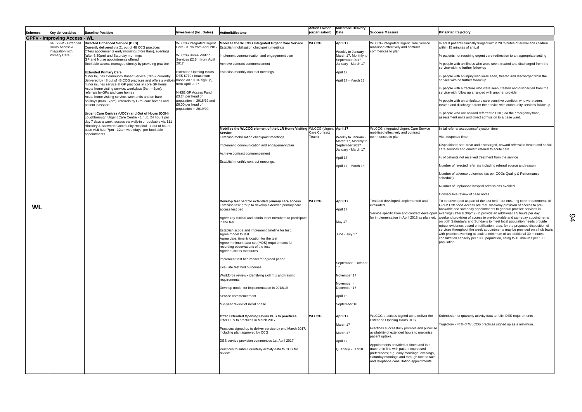**%** adult patients clinically triaged within 20 minutes of arrival and children within 15 minutes of arrival

% people with an ambulatory care sensitive condition who were seen, treated and discharged from the service with community services follow up

% patients not requiring urgent care redirection to an appropriate setting

% people with an illness who were seen, treated and discharged from the service with no further follow up

% people with an injury who were seen, treated and discharged from the service with no further follow up

% people with a fracture who were seen, treated and discharged from the service with follow up arranged with another provider

% people who are onward referred to UHL; via the emergency floor, assessment units and direct admission to a base ward.

Initial referral acceptance/rejection time

Visit response time

Dispositions; see, treat and discharged, onward referral to health and social care services and onward referral to acute care

% of patients not received treatment from the service

Number of rejected referrals including referral source and reason

Number of adverse outcomes (as per CCGs Quality & Performance schedule)

Number of unplanned hospital admissions avoided

Consecutive review of case notes.

|                |                                                                                |                                                                                                                                                                                                                                                                                                                                                                                                                                                |                                                                                                                                                                                                                          |                                                                                                                                                                                                                                                                                                                                                                                                                                                  | <b>Action Owner</b>    | <b>Milestone Delivery</b>                                                                                                          |                                                                                                                                                                                                                                                                                                                                                                                                                       |
|----------------|--------------------------------------------------------------------------------|------------------------------------------------------------------------------------------------------------------------------------------------------------------------------------------------------------------------------------------------------------------------------------------------------------------------------------------------------------------------------------------------------------------------------------------------|--------------------------------------------------------------------------------------------------------------------------------------------------------------------------------------------------------------------------|--------------------------------------------------------------------------------------------------------------------------------------------------------------------------------------------------------------------------------------------------------------------------------------------------------------------------------------------------------------------------------------------------------------------------------------------------|------------------------|------------------------------------------------------------------------------------------------------------------------------------|-----------------------------------------------------------------------------------------------------------------------------------------------------------------------------------------------------------------------------------------------------------------------------------------------------------------------------------------------------------------------------------------------------------------------|
| <b>Schemes</b> | Key deliverables                                                               | <b>Baseline Position</b>                                                                                                                                                                                                                                                                                                                                                                                                                       | <b>Investment (Inc. Dates)</b>                                                                                                                                                                                           | <b>Action/Milestone</b>                                                                                                                                                                                                                                                                                                                                                                                                                          | (organisation)         | Date                                                                                                                               | <b>Success Measure</b>                                                                                                                                                                                                                                                                                                                                                                                                |
|                | <b>GPFV - Improving Access - WL</b>                                            |                                                                                                                                                                                                                                                                                                                                                                                                                                                |                                                                                                                                                                                                                          |                                                                                                                                                                                                                                                                                                                                                                                                                                                  |                        |                                                                                                                                    |                                                                                                                                                                                                                                                                                                                                                                                                                       |
|                | GP5YFW - Extended<br>Hours Access &<br>Integration with<br><b>Primary Care</b> | <b>Directed Enhanced Service (DES)</b><br>Currently delivered via 21 out of 48 CCG practices<br>Offers appoinments early morning (bfore 8am), evenings<br>(after 6.30pm) and Saturday mornings<br>GP and Nurse appointments offered<br>Bookable access managed directly by providing practice                                                                                                                                                  | <b>WLCCG Integrated Urgent</b><br><b>WLCCG Home Visiting</b><br>Services £2.6m from April<br>2017                                                                                                                        | Mobilise the WLCCG Integrated Urgent Care Service<br>Care £3.7m from April 2017 Establish mobilisation checkpoint meetings<br>Implement communication and engagement plan<br>Achieve contract commencement                                                                                                                                                                                                                                       | <b>WLCCG</b>           | April 17<br>Weekly to January -<br>March 17, Monthly to<br>September 2017<br>January - March 17                                    | <b>WLCCG Integrated Urgent Care Service</b><br>mobilised effectively and contract<br>commences to plan.                                                                                                                                                                                                                                                                                                               |
|                |                                                                                | <b>Extended Primary Care</b><br>Minor Injuries Community Based Service (CBS); currently<br>delivered by 48 out of 48 CCG practices and offers a walk-in<br>minor injuries service at GP practices in core GP hours<br>Acute home visting service, weekdays (9am - 5pm);<br>referrals by GPs and care homes<br>Acute home visiting service, weekends and on bank<br>holidays (8am - 7pm); referrals by GPs, care homes and<br>patient 'passport | <b>Extended Opening Hours</b><br>DES £710k (maximum<br>based on 100% sign up)<br>from April 2017<br>NHSE GP Access Fund<br>£3.24 per head of<br>population in 2018/19 and<br>£6.00 per head of<br>population in 2019/20. | Establish monthly contract meetings.                                                                                                                                                                                                                                                                                                                                                                                                             |                        | April 17<br>April 17 - March 18                                                                                                    |                                                                                                                                                                                                                                                                                                                                                                                                                       |
|                |                                                                                | Urgent Care Centres (UCCs) and Out of Hours (OOH)<br>Loughborough Urgent Care Centre - 1 hub, 24 hours per<br>day 7 days a week; access via walk-in or bookable via 111<br>Hinckley & Bosworth Community Hospital - 1 out of hours<br>base visit hub, 7pm - 12am weekdays; pre-bookable<br>appointments                                                                                                                                        |                                                                                                                                                                                                                          | Mobilise the WLCCG element of the LLR Home Visiting WLCCG (Urgent<br><b>Service</b><br>Establish mobilisation checkpoint meetings<br>Implement communication and engagement plan<br>Achieve contract commencement<br>Establish monthly contract meetings.                                                                                                                                                                                        | Care Contract<br>Team) | April 17<br>Weekly to January -<br>March 17, Monthly to<br>September 2017<br>January - March 17<br>April 17<br>April 17 - March 18 | <b>WLCCG Integrated Urgent Care Service</b><br>mobilised effectively and contract<br>commences to plan.                                                                                                                                                                                                                                                                                                               |
| <b>WL</b>      |                                                                                |                                                                                                                                                                                                                                                                                                                                                                                                                                                |                                                                                                                                                                                                                          | Develop test bed for extended primary care access<br>Establish task group to develop extended primary care<br>access test bed<br>Agree key clinical and admin team members to participate<br>in the test<br>Establish scope and implement timeline for test;<br>Agree model to test<br>Agree date, time & location for the test<br>Agree minimum data set (MDS) requirements for<br>recording observations of the test<br>Agree success measures | <b>WLCCG</b>           | April 17<br>April 17<br>May 17<br>June - July 17                                                                                   | Test bed developed, implemented and<br>evaluated<br>Service specification and contract developed<br>for implementation in April 2018 as planned.                                                                                                                                                                                                                                                                      |
|                |                                                                                |                                                                                                                                                                                                                                                                                                                                                                                                                                                |                                                                                                                                                                                                                          | Implement test bed model for agreed period<br>Evaluate test bed outcomes<br>Workforce review - identifying skill mix and training<br>requirements<br>Develop model for implementation in 2018/19<br>Service commencement<br>Mid-year review of initial phase.                                                                                                                                                                                    |                        | September - October<br>November 17<br>November -<br>December 17<br>April 18<br>September 18                                        |                                                                                                                                                                                                                                                                                                                                                                                                                       |
|                |                                                                                |                                                                                                                                                                                                                                                                                                                                                                                                                                                |                                                                                                                                                                                                                          | Offer Extended Opening Hours DES to practices<br>Offer DES to practices in March 2017<br>Practices signed up to deliver service by end March 2017;<br>including plan approved by CCG<br>DES service provision commences 1st April 2017<br>Practices to submit quarterly activity data to CCG for<br>review.                                                                                                                                      | <b>WLCCG</b>           | April 17<br>March 17<br>March 17<br>April 17<br>Quarterly 2017/18                                                                  | WLCCG practices signed up to deliver the<br>Extended Opening Hours DES.<br>Practices successfully promote and publicise<br>availability of extended hours to maximise<br>patient uptake.<br>Appointments provided at times and in a<br>manner in line with patient expressed<br>preferences; e.g. early mornings, evenings,<br>Saturday mornings and through face to face<br>and telephone consultation appointments. |

### **KPIs/Plan trajectory**

To be developed as part of the test bed - but ensuring core requirements of GPFV Extended Access are met; weekday provision of access to prebookable and sameday appointments to general practice services in evenings (after 6.30pm) - to provide an additional 1.5 hours per day weekend provision of access to pre-bookable and sameday appointments on both Saturday's and Sunday's to meet local population needs provide robust evidence, based on utilisation rates, for the proposed disposition of services throughout the week appointments may be provided on a hub basis with practices working at scale a minimum of an additional 30 minutes consultation capacity per 1000 population, rising to 45 minutes per 100 population.

Submission of quarterly activity data to fulfill DES requirements

Trajectory - 44% of WLCCG practices signed up as a minimum.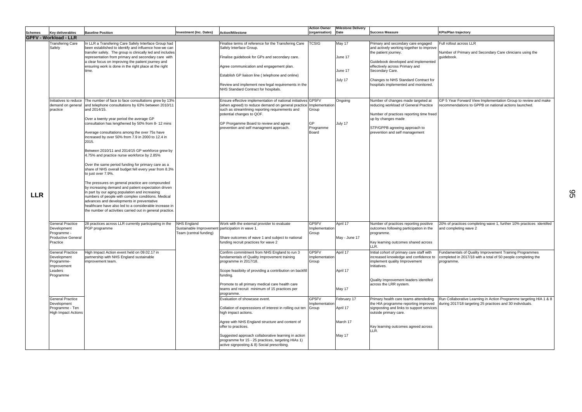| <b>KPIs/Plan trajectory</b>                                                                                                            |
|----------------------------------------------------------------------------------------------------------------------------------------|
|                                                                                                                                        |
| Full rollout across LLR<br>Number of Primary and Secondary Care clinicians using the<br>guidebook.                                     |
|                                                                                                                                        |
|                                                                                                                                        |
|                                                                                                                                        |
| GP 5 Year Forward View Implementation Group to review and make<br>recommendations to GPPB on national actions launched.                |
|                                                                                                                                        |
|                                                                                                                                        |
|                                                                                                                                        |
|                                                                                                                                        |
|                                                                                                                                        |
|                                                                                                                                        |
|                                                                                                                                        |
|                                                                                                                                        |
| 20% of practices completing wave 1, further 10% practices identifed<br>and completing wave 2                                           |
|                                                                                                                                        |
| Fundamentals of Quality Improvement Training Programmes<br>completed in 2017/18 with a total of 50 people completing the<br>programme. |
|                                                                                                                                        |
|                                                                                                                                        |
| Run Collaborative Learning in Action Programme targeting HIA 1 & 8<br>during 2017/18 targeting 25 practices and 30 individuals.        |
|                                                                                                                                        |
|                                                                                                                                        |
|                                                                                                                                        |

|            |                                                                     |                                                                                                                                                                                                                                                                                                                                                                                     |                                                  |                                                                                                                                                                                                     | <b>Action Owner</b>              | <b>Milestone Delivery</b> |                                                                                                                                     |                                                       |
|------------|---------------------------------------------------------------------|-------------------------------------------------------------------------------------------------------------------------------------------------------------------------------------------------------------------------------------------------------------------------------------------------------------------------------------------------------------------------------------|--------------------------------------------------|-----------------------------------------------------------------------------------------------------------------------------------------------------------------------------------------------------|----------------------------------|---------------------------|-------------------------------------------------------------------------------------------------------------------------------------|-------------------------------------------------------|
| Schemes    | <b>Key deliverables</b>                                             | <b>Baseline Position</b>                                                                                                                                                                                                                                                                                                                                                            | <b>Investment (Inc. Dates)</b>                   | Action/Milestone                                                                                                                                                                                    | (organisation)                   | Date                      | <b>Success Measure</b>                                                                                                              | <b>KPIs/Plan trajectory</b>                           |
|            | <b>GPFV - Workload - LLR</b>                                        |                                                                                                                                                                                                                                                                                                                                                                                     |                                                  |                                                                                                                                                                                                     |                                  |                           |                                                                                                                                     |                                                       |
|            | <b>Transfering Care</b><br>Safely                                   | In LLR a Transfering Care Safely Interface Group had<br>been established to identify and influence how we can                                                                                                                                                                                                                                                                       |                                                  | Finalise terms of reference for the Transfering Care<br>Safely Interface Group.                                                                                                                     | <b>TCSIG</b>                     | May 17                    | Primary and secondary care engaged<br>and actively working together to improve                                                      | Full rollout across I                                 |
|            |                                                                     | transfer safely. The group is clinically led and includes<br>representation from primary and secondary care with<br>a clear focus on improving the patient journey and                                                                                                                                                                                                              |                                                  | Finalise guidebook for GPs and secondary care.                                                                                                                                                      |                                  | June 17                   | the patient journey.<br>Guidebook developed and implemented                                                                         | Number of Primary<br>guidebook.                       |
|            |                                                                     | ensuring work is done in the right place at the right<br>time.                                                                                                                                                                                                                                                                                                                      |                                                  | Agree communication and engagement plan.                                                                                                                                                            |                                  | June 17                   | effectively across Primary and<br>Secondary Care.                                                                                   |                                                       |
|            |                                                                     |                                                                                                                                                                                                                                                                                                                                                                                     |                                                  | Establish GP liaison line (telephone and online)                                                                                                                                                    |                                  | July 17                   | Changes to NHS Standard Contract for                                                                                                |                                                       |
|            |                                                                     |                                                                                                                                                                                                                                                                                                                                                                                     |                                                  | Review and implement new legal requirements in the<br>NHS Standard Contract for hospitals.                                                                                                          |                                  |                           | hospitals implemented and monitored.                                                                                                |                                                       |
|            | practice                                                            | Initiatives to reduce The number of face to face consultations grew by 13%<br>demand on general and telephone consultations by 63% between 2010/11<br>and 2014/15.                                                                                                                                                                                                                  |                                                  | Ensure effective implementation of national initiatives GP5FV<br>(when agreed) to reduce demand on general practice<br>such as streamlining reporting requirements and<br>potential changes to QOF. | Implementation<br>Group          | Ongoing                   | Number of changes made targeted at<br>reducing workload of General Practice                                                         | GP 5 Year Forward<br>ecommendations                   |
|            |                                                                     | Over a twenty year period the average GP<br>consultation has lengthened by 50% from 8-12 mins                                                                                                                                                                                                                                                                                       |                                                  | GP Prorgamme Board to review and agree                                                                                                                                                              | <b>GP</b>                        | July 17                   | Number of practices reporting time freed<br>up by changes made                                                                      |                                                       |
|            |                                                                     | Average consultations among the over 75s have<br>increased by over 50% from 7.9 in 2000 to 12.4 in<br>2015.                                                                                                                                                                                                                                                                         |                                                  | prevention and self managment approach.                                                                                                                                                             | Programme<br>Board               |                           | STP/GPPB agreeing approach to<br>prevention and self management                                                                     |                                                       |
|            |                                                                     | Between 2010/11 and 2014/15 GP workforce grew by<br>4.75% and practice nurse workforce by 2.85%                                                                                                                                                                                                                                                                                     |                                                  |                                                                                                                                                                                                     |                                  |                           |                                                                                                                                     |                                                       |
|            |                                                                     | Over the same period funding for primary care as a<br>share of NHS overall budget fell every year from 8.3%<br>to just over 7.9%.                                                                                                                                                                                                                                                   |                                                  |                                                                                                                                                                                                     |                                  |                           |                                                                                                                                     |                                                       |
| <b>LLR</b> |                                                                     | The pressures on general practice are compounded<br>by increasing demand and patient expectation driven<br>in part by our aging population and increasing<br>numbers of people with complex conditions. Medical<br>advances and developments in preventative<br>healthcare have also led to a considerable increase in<br>the number of activities carried out in general practice. |                                                  |                                                                                                                                                                                                     |                                  |                           |                                                                                                                                     |                                                       |
|            | <b>General Practice</b>                                             | 28 practices across LLR currently participating in the                                                                                                                                                                                                                                                                                                                              | <b>NHS England</b>                               | Work with the external provider to evaluate                                                                                                                                                         | GP5FV                            | April 17                  | Number of practices reporting positive                                                                                              | 20% of practices c                                    |
|            | Development<br>Programme -                                          | PGP programme                                                                                                                                                                                                                                                                                                                                                                       | Sustainable Improvemen<br>Team (central funding) | participation in wave 1.                                                                                                                                                                            | Implementation<br>Group          |                           | outcomes following participation in the<br>programme.                                                                               | and completing wa                                     |
|            | <b>Productive General</b><br>Practice                               |                                                                                                                                                                                                                                                                                                                                                                                     |                                                  | Share outcomes of wave 1 and subject to national<br>funding recruit practices for wave 2                                                                                                            |                                  | May - June 17             | Key learning outcomes shared across<br>LLR.                                                                                         |                                                       |
|            | <b>General Practice</b><br>Development<br>Programme-<br>Improvement | High Impact Action event held on 09.02.17 in<br>partnership with NHS England sustainable<br>improvement team.                                                                                                                                                                                                                                                                       |                                                  | Confirm commitment from NHS England to run 3<br>fundamentals of Quality Improvement training<br>programme in 2017/18.                                                                               | GP5FV<br>Implementation<br>Group | April 17                  | Initial cohort of primary care staff with<br>increased knowledge and confidence to<br>implement quality Improvement<br>Initiatives. | Fundamentals of C<br>completed in 2017/<br>programme. |
|            | Leaders<br>Programme                                                |                                                                                                                                                                                                                                                                                                                                                                                     |                                                  | Scope feasibiity of providing a contribution on backfill<br>funding.                                                                                                                                |                                  | April 17                  | Quality Improvement leaders identifed                                                                                               |                                                       |
|            |                                                                     |                                                                                                                                                                                                                                                                                                                                                                                     |                                                  | Promote to all primary medical care health care<br>teams and recruit minimum of 15 practices per<br>programme.                                                                                      |                                  | May 17                    | across the LRR system.                                                                                                              |                                                       |
|            | <b>General Practice</b><br>Development                              |                                                                                                                                                                                                                                                                                                                                                                                     |                                                  | Evaluation of showcase event.                                                                                                                                                                       | GP5FV<br>Implementation          | February 17               | Primary health care teams attendeding<br>the HIA programme reporting improved                                                       | Run Collaborative<br>during 2017/18 targ              |
|            | Programme - Ten<br><b>High Impact Actions</b>                       |                                                                                                                                                                                                                                                                                                                                                                                     |                                                  | Collation of expresssions of interest in rolling out ten<br>high impact actions.                                                                                                                    | Group                            | April 17                  | signposting and links to support services<br>outside primary care.                                                                  |                                                       |
|            |                                                                     |                                                                                                                                                                                                                                                                                                                                                                                     |                                                  | Agree with NHS England structure and content of<br>offer to practices.                                                                                                                              |                                  | March 17                  | Key learning outcomes agreed across<br>LLR.                                                                                         |                                                       |
|            |                                                                     |                                                                                                                                                                                                                                                                                                                                                                                     |                                                  | Suggested approach collaborative learning in action<br>programme for 15 - 25 practices, targeting HIAs 1)<br>active signposting & 8) Social prescribing.                                            |                                  | May 17                    |                                                                                                                                     |                                                       |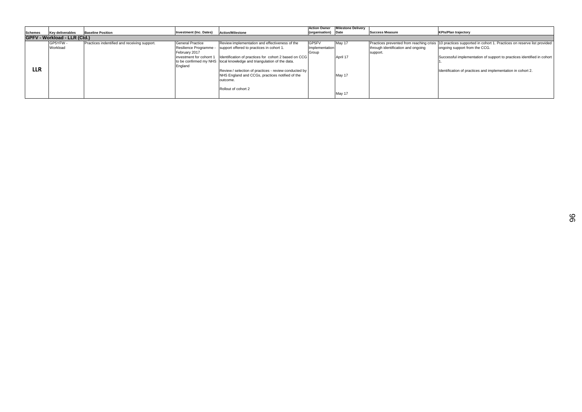### **Date Success Measure KPIs/Plan trajectory**

|                |                                     |                                              |                                                 |                                                                                                                                | <b>Action Owner</b>     | <b>Milestone Delivery</b> |                                                                                   |  |
|----------------|-------------------------------------|----------------------------------------------|-------------------------------------------------|--------------------------------------------------------------------------------------------------------------------------------|-------------------------|---------------------------|-----------------------------------------------------------------------------------|--|
| <b>Schemes</b> | <b>Key deliverables</b>             | <b>Baseline Position</b>                     | <b>Investment (Inc. Dates)</b>                  | Action/Milestone                                                                                                               | (organisation) Date     |                           | <b>Success Measure</b>                                                            |  |
|                | <b>GPFV - Workload - LLR (Ctd.)</b> |                                              |                                                 |                                                                                                                                |                         |                           |                                                                                   |  |
|                | GP5YFW -<br>Workload                | Practices indentified and receiving support. | <b>General Practice</b><br>Resilience Programme | Review implementation and effectiveness of the<br>support offered to practices in cohort 1.                                    | GP5FV<br>Implementation | May 17                    | Practices prevented from reaching crisis  1<br>through identification and ongoing |  |
|                |                                     |                                              | February 2017<br>investment for cohorrt 1       | Identification of practices for cohort 2 based on CCG<br>to be confirmed my NHS local knowledge and triangulation of the data. | Group                   | April 17                  | support.                                                                          |  |
| LLR            |                                     |                                              | England                                         | Review / selection of practices - review conducted by<br>NHS England and CCGs, practices notified of the<br>outcome.           |                         | May 17                    |                                                                                   |  |
|                |                                     |                                              |                                                 | Rollout of cohort 2                                                                                                            |                         | May 17                    |                                                                                   |  |

10 practices supported in cohort 1. Practices on reserve list provided ongoing support from the CCG.

Successful implementation of support to practices identified in cohort 1.

Identification of practices and implementation in cohort 2.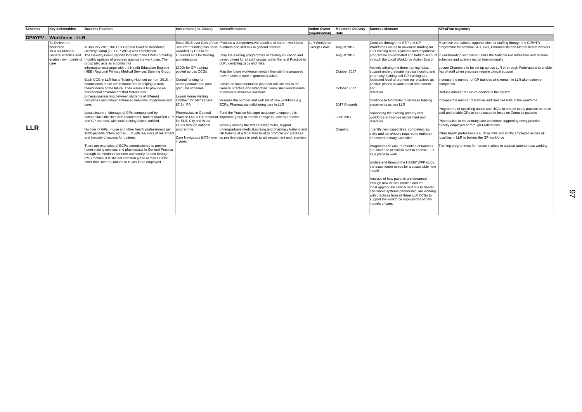Maximise the national opportunities for staffing through the GP5YFV programme for addtinal GPs, PAs, Pharmacists and Mental health workers

In collaboration with NHSE, utilise the National GP refreseher and retainer schemes and actively recruit Internationally

Programme of upskilling nuses and HCAs to enable every practice to retain staff and enable GPs to be released to focus on Complex patients

Pharmacists in the primary care workforce supporting every practice directly employed or through Federations

Locum Chambers to be set up across LLR or through Federations to enable flex of staff when practices require clinical support

Increase the number of GP trainees who remain in LLR after scheme completion

Reduce number of Locum doctors in the system

Increase the number of Partner and Salaried GPs in the workforce

Other health professionals such as PAs and ECPs employed across all localities in LLR to bolster the GP workforce

Training programmes for nurses in place to support autonomous working

| <b>Schemes</b> | <b>Key deliverables</b>                   | <b>Baseline Position</b>                                                                                                                          | <b>Investment (Inc. Dates)</b>                     | <b>Action/Milestone</b>                                                                                              | <b>Action Owner</b>  | <b>Milestone Delivery</b> | <b>Success Measure</b>                                                                  |
|----------------|-------------------------------------------|---------------------------------------------------------------------------------------------------------------------------------------------------|----------------------------------------------------|----------------------------------------------------------------------------------------------------------------------|----------------------|---------------------------|-----------------------------------------------------------------------------------------|
|                |                                           |                                                                                                                                                   |                                                    |                                                                                                                      | (organisation)       | Date                      |                                                                                         |
|                | <b>GP5YFV - Workforce - LLR</b>           |                                                                                                                                                   |                                                    |                                                                                                                      |                      |                           |                                                                                         |
|                | To Deliver the                            |                                                                                                                                                   |                                                    | Since 2015 over £1m of non Produce a comprehensive baseline of current workforce                                     | <b>LLR Workforce</b> |                           | Continue through the STP and GP                                                         |
|                | workforce                                 | In January 2015, the LLR General Practice Workforce                                                                                               | -recurrent funding has been                        | numbers and skill mix in general practice.                                                                           | Group/LWAB           | August 2017               | Workforce Groups to maximise funding for                                                |
|                | for a sustainable<br>General Practice and | Delivery Group (LLR GP WDG) was established.                                                                                                      | awarded by HEEM for<br>succesful bids for training |                                                                                                                      |                      |                           | LLR training hubs. Dynamic and responsive                                               |
|                |                                           | The Delivery Group reports formally to the LWAB providing<br>enable new models of monthly updates of progress against the work plan. The          | and education                                      | Map the existing programmes of training education and<br>development for all staff groups within General Practice in |                      | August 2017               | programme co-ordinated and held to account<br>through the Local Workforce Action Board. |
|                | care                                      | group also acts as a conduit for                                                                                                                  |                                                    | LLR, identyfing gaps and risks.                                                                                      |                      |                           |                                                                                         |
|                |                                           | information exchange with the Health Education England                                                                                            | £300k for GP training                              |                                                                                                                      |                      |                           | Actively utilising the three training hubs,                                             |
|                |                                           | (HEE) Regional Primary Medical Services Steering Group                                                                                            | pooled across CCGs                                 | Map the future workforce needs inline with the proposed                                                              |                      | October 2017              | support undergraduate medical, nursing and                                              |
|                |                                           |                                                                                                                                                   |                                                    | new models of care in general practice.                                                                              |                      |                           | pharmacy training and GP training at a                                                  |
|                |                                           | Each CCG in LLR has a Training Hub, set up from 2015. In                                                                                          | Central funding for                                |                                                                                                                      |                      |                           | federated level to promote our practices as                                             |
|                |                                           | combination these are instrumental in helping to train                                                                                            | undergraduate and post                             | Create an implementation plan that will link this to the                                                             |                      |                           | positive places to work to aid recruitment                                              |
|                |                                           | theworkforce of the future. Their vision is to provide an                                                                                         | graduate schemes.                                  | General Practice and Integrated Team SRP workstreams                                                                 |                      | October 2017              | and                                                                                     |
|                |                                           | educational environment that fosters inter-                                                                                                       |                                                    | to deliver sustainable solutions.                                                                                    |                      |                           | retention.                                                                              |
|                |                                           | professionallearning between students of different                                                                                                | <b>Urgent Home Visiting</b>                        |                                                                                                                      |                      |                           |                                                                                         |
|                |                                           | disciplines and deliver enhanced networks of personalised                                                                                         | Contract for 24/7 service                          | Increase the number and skill set of new workforce e.g.                                                              |                      |                           | Continue to fund hubs to increase training                                              |
|                |                                           | care.                                                                                                                                             | £7.3m PA                                           | ECPs, Pharmacists delivbering care in LLR                                                                            |                      | 2017 Onwards              | placements across LLR                                                                   |
|                |                                           | Local picture of shortage of GPs compounded by                                                                                                    | Pharmacists in General                             | Fund the Practice Manager academy to support this                                                                    |                      |                           |                                                                                         |
|                |                                           | substantial difficulties with recruitment, both of qualified GPs Practice £650k PA recurrent important group to enable change in General Practice |                                                    |                                                                                                                      |                      | June 2017                 | Supporting the existing primary care                                                    |
|                |                                           | and GP trainees, with local training places unfilled.                                                                                             | for ELR. City and West                             |                                                                                                                      |                      |                           | workforce to improve recruitment and<br>retention                                       |
|                |                                           |                                                                                                                                                   | CCGs through national                              | Actively utilising the three training hubs, support                                                                  |                      |                           |                                                                                         |
| <b>LLR</b>     |                                           | Number of GPs, nurse and other health professionals per                                                                                           | programme                                          | undergraduate medical, nursing and pharmacy training and                                                             |                      | Ongoing                   | Identify new capabilities, competencies,                                                |
|                |                                           | 1000 patients differs across LLR with real risks of retirement                                                                                    |                                                    | GP training at a federated level to promote our practices                                                            |                      |                           | skills and behaviours required to make an                                               |
|                |                                           | and inequity of access for patients                                                                                                               |                                                    | Care Navigators £475k over as positive places to work to aid recruitment and retention.                              |                      |                           | enhanced primary care offer.                                                            |
|                |                                           |                                                                                                                                                   | 4 years                                            |                                                                                                                      |                      |                           |                                                                                         |
|                |                                           | There are examples of ECPs commissioned to provide                                                                                                |                                                    |                                                                                                                      |                      |                           | Programme to ensure retention of trainees                                               |
|                |                                           | home visiting services and pharmacists in General Practice                                                                                        |                                                    |                                                                                                                      |                      |                           | and increase of clinical staff to choose LLR                                            |
|                |                                           | through the NAtional scheme and locally funded through                                                                                            |                                                    |                                                                                                                      |                      |                           | as a place to work                                                                      |
|                |                                           | PMS monies, it is still not common place across LLR for                                                                                           |                                                    |                                                                                                                      |                      |                           |                                                                                         |
|                |                                           | other that Doctors, nurses or HCAs to be employed                                                                                                 |                                                    |                                                                                                                      |                      |                           | Understand through the HEEM/ WFP study                                                  |
|                |                                           |                                                                                                                                                   |                                                    |                                                                                                                      |                      |                           | the exact future needs for a sustainable new<br>model                                   |
|                |                                           |                                                                                                                                                   |                                                    |                                                                                                                      |                      |                           |                                                                                         |
|                |                                           |                                                                                                                                                   |                                                    |                                                                                                                      |                      |                           | Analysis of how patients are streamed                                                   |
|                |                                           |                                                                                                                                                   |                                                    |                                                                                                                      |                      |                           | through new clinical modles and the                                                     |
|                |                                           |                                                                                                                                                   |                                                    |                                                                                                                      |                      |                           | most appropriate clinical skill mix to deliver.                                         |
|                |                                           |                                                                                                                                                   |                                                    |                                                                                                                      |                      |                           | The whole systems partnership are working                                               |
|                |                                           |                                                                                                                                                   |                                                    |                                                                                                                      |                      |                           | with practices from all three LLR CCGs to                                               |
|                |                                           |                                                                                                                                                   |                                                    |                                                                                                                      |                      |                           | support the workforce implications of new                                               |
|                |                                           |                                                                                                                                                   |                                                    |                                                                                                                      |                      |                           | models of care.                                                                         |
|                |                                           |                                                                                                                                                   |                                                    |                                                                                                                      |                      |                           |                                                                                         |
|                |                                           |                                                                                                                                                   |                                                    |                                                                                                                      |                      |                           |                                                                                         |

## **KPIs/Plan trajectory**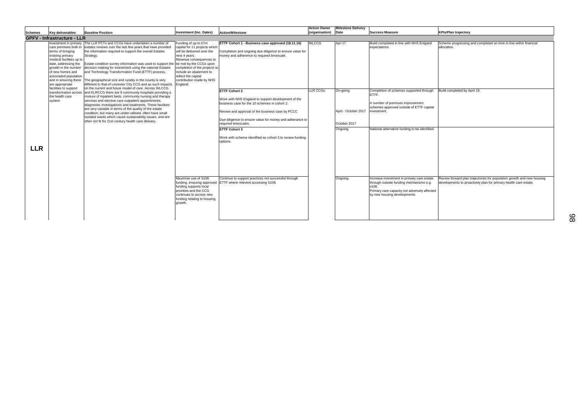| <b>KPIs/Plan trajectory</b>                                                                                                                |  |  |  |  |  |
|--------------------------------------------------------------------------------------------------------------------------------------------|--|--|--|--|--|
|                                                                                                                                            |  |  |  |  |  |
| Scheme progressing and completed on time in line within financial<br>allocation.                                                           |  |  |  |  |  |
|                                                                                                                                            |  |  |  |  |  |
| Build completed by April 19.                                                                                                               |  |  |  |  |  |
|                                                                                                                                            |  |  |  |  |  |
| Review forward plan trajectories for population growth and new housing<br>developments to proactively plan for primary health care estate. |  |  |  |  |  |

|                                    |                                                                                                                                                                                                                                                                  |                                                                                                                                                                                                                                                                                                                                                                                                                                                                                                                                                                                                                                                                                                                                                                                                                                                                                                                                                                                                    |                                                                                                                                                                                                                                                                                       |                                                                                                                                                                                                                                                                                                                                                 | <b>Action Owner</b>             | <b>Milestone Delivery</b>                  |                                                                                                                                                                                                                                  |                                                                          |
|------------------------------------|------------------------------------------------------------------------------------------------------------------------------------------------------------------------------------------------------------------------------------------------------------------|----------------------------------------------------------------------------------------------------------------------------------------------------------------------------------------------------------------------------------------------------------------------------------------------------------------------------------------------------------------------------------------------------------------------------------------------------------------------------------------------------------------------------------------------------------------------------------------------------------------------------------------------------------------------------------------------------------------------------------------------------------------------------------------------------------------------------------------------------------------------------------------------------------------------------------------------------------------------------------------------------|---------------------------------------------------------------------------------------------------------------------------------------------------------------------------------------------------------------------------------------------------------------------------------------|-------------------------------------------------------------------------------------------------------------------------------------------------------------------------------------------------------------------------------------------------------------------------------------------------------------------------------------------------|---------------------------------|--------------------------------------------|----------------------------------------------------------------------------------------------------------------------------------------------------------------------------------------------------------------------------------|--------------------------------------------------------------------------|
| <b>Schemes</b>                     | <b>Key deliverables</b>                                                                                                                                                                                                                                          | <b>Baseline Position</b>                                                                                                                                                                                                                                                                                                                                                                                                                                                                                                                                                                                                                                                                                                                                                                                                                                                                                                                                                                           | <b>Investment (Inc. Dates)</b>                                                                                                                                                                                                                                                        | <b>Action/Milestone</b>                                                                                                                                                                                                                                                                                                                         | (organisation)                  | Date                                       | <b>Success Measure</b>                                                                                                                                                                                                           | <b>KPIs/Plan trajectory</b>                                              |
| <b>GPFV - Infrastructure - LLR</b> |                                                                                                                                                                                                                                                                  |                                                                                                                                                                                                                                                                                                                                                                                                                                                                                                                                                                                                                                                                                                                                                                                                                                                                                                                                                                                                    |                                                                                                                                                                                                                                                                                       |                                                                                                                                                                                                                                                                                                                                                 |                                 |                                            |                                                                                                                                                                                                                                  |                                                                          |
|                                    | terms of bringing<br>existing primary<br>medical facilities up to<br>date, addressing the<br>growth in the number<br>of new homes and<br>associated population<br>and in ensuring there<br>are appropriate<br>facilities to support<br>the health care<br>system | Investment in primary The LLR PCTs and CCGs have undertaken a number of<br>care premises both in estates reviews over the last few years that have provided<br>the information required to support the overall Estates<br>Strategy.<br>Estate condition survey information was used to support the<br>decision making for investment using the national Estates<br>and Technology Transformation Fund (ETTF) process.<br>The geographical size and rurality in the county is very<br>different to that of Leicester City CCG and as such impacts<br>on the current and future model of care. Across WLCCG<br>transformation across and ELRCCG there are 9 community hospitals providing a<br>mixture of inpatient beds, community nursing and therapy<br>services and elective care outpatient appointments,<br>diagnostiic investigations and treatments. These facilities<br>are very variable in terms of the quality of the estate<br>condition, but many are under-utilised, often have small | Funding of up to £7m<br>capital for 11 projects which<br>will be delivered over the<br>next 4 years.<br>Revenue consequences to<br>be met by the CCGs upon<br>completion of the projects to<br>include an abatement to<br>reflect the capital<br>contribution made by NHS<br>England. | ETTF Cohort 1 - Business case approved (18.11.16)<br>Completion and ongoing due diligence to ensure value for<br>money and adherence to required timescale.<br><b>ETTF Cohort 2</b><br>Work with NHS England to support development of the<br>business case for the 10 schemes in cohort 2.<br>Review and approval of the business case by PCCC | <b>WLCCG</b><br><b>LLR CCGs</b> | Apr-17<br>On-going<br>April - October 2017 | Build completed in line with NHS Enlgand<br>expectations.<br>Completion of schemes supported through<br>ETTF.<br>A number of premises improvement<br>schemes approved outside of ETTF capital<br>investment.                     | Scheme progressing and co<br>allocation.<br>Build completed by April 19. |
| <b>LLR</b>                         |                                                                                                                                                                                                                                                                  | isolated wards which cause sustainability issues, and are<br>often not fit for 21st century health care delivery.                                                                                                                                                                                                                                                                                                                                                                                                                                                                                                                                                                                                                                                                                                                                                                                                                                                                                  | Maximise use of S106<br>funding supports local<br>priorities and the CCG<br>continues to access new<br>funding relating to housing<br>growth.                                                                                                                                         | Due diligence to ensure value for money and adherance to<br>required timescales.<br><b>ETTF Cohort 3</b><br>Work with scheme identified as cohort 3 to review funding<br>options.<br>Continue to support practices not successful through<br>funding, ensuring approved ETTF where relevent accessing S106.                                     |                                 | October 2017<br>Ongoing<br>Ongoing         | National alternative funding to be identified.<br>Increase investment in primary care estate<br>through outside funding mechanisms e.g.<br>s106.<br>Primary care capacity not adversely affected<br>by new housing developments. | Review forward plan trajecto<br>developments to proactively              |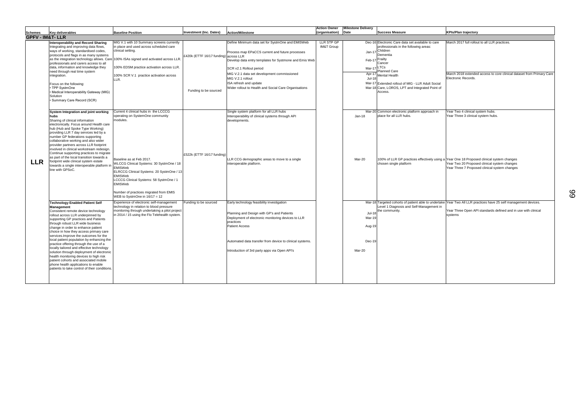| <b>Success Measure</b>                                                                                                                                                                                                                                                                | <b>KPIs/Plan trajectory</b>                                                                                                                                                                                                      |
|---------------------------------------------------------------------------------------------------------------------------------------------------------------------------------------------------------------------------------------------------------------------------------------|----------------------------------------------------------------------------------------------------------------------------------------------------------------------------------------------------------------------------------|
|                                                                                                                                                                                                                                                                                       |                                                                                                                                                                                                                                  |
| Electronic Care data set available to care<br>professionals in the following areas:<br>Children<br>Dementia<br>Frailty<br>Cancer<br>LTCs<br><b>Planned Care</b><br>Mental Health<br>Extended rollout of MIG - LLR Adult Social<br>Care, LOROS, LPT and Integrated Point of<br>Access. | March 2017 full rollout to all LLR practices.<br>March 2018 extended access to core clinical dataset from Primary Care<br>Electronic Records.                                                                                    |
| Common electronic platform approach in                                                                                                                                                                                                                                                | Year Two 4 clinical system hubs.                                                                                                                                                                                                 |
| place for all LLR hubs.<br>chosen single platform                                                                                                                                                                                                                                     | Year Three 3 clinical system hubs.<br>100% of LLR GP practices effectively using a Year One 18 Proposed clinical system changes<br>Year Two 20 Proposed clinical system changes<br>Year Three 7 Proposed clinical system changes |
|                                                                                                                                                                                                                                                                                       | Targeted cohorts of patient able to undertake Year Two All LLR practices have 25 self management devices.                                                                                                                        |
| Level 1 Diagnosis and Self-Management in<br>the community.                                                                                                                                                                                                                            | Year Three Open API standards defined and in use with clinical<br>systems                                                                                                                                                        |

|                             |                                                                                                                                                                                                                                                                                                                                                                                                                                                                                                                                                                                                                                                                                                    |                                                                                                                                                                                                                                                                                                                                                                    |                                                                |                                                                                                                                                                                                                                                                                                                                                 | <b>Action Owner</b>                 | <b>Milestone Delivery</b>                             |                                                                                                                                                                                                                                                                                                            |                                                                                             |
|-----------------------------|----------------------------------------------------------------------------------------------------------------------------------------------------------------------------------------------------------------------------------------------------------------------------------------------------------------------------------------------------------------------------------------------------------------------------------------------------------------------------------------------------------------------------------------------------------------------------------------------------------------------------------------------------------------------------------------------------|--------------------------------------------------------------------------------------------------------------------------------------------------------------------------------------------------------------------------------------------------------------------------------------------------------------------------------------------------------------------|----------------------------------------------------------------|-------------------------------------------------------------------------------------------------------------------------------------------------------------------------------------------------------------------------------------------------------------------------------------------------------------------------------------------------|-------------------------------------|-------------------------------------------------------|------------------------------------------------------------------------------------------------------------------------------------------------------------------------------------------------------------------------------------------------------------------------------------------------------------|---------------------------------------------------------------------------------------------|
| <b>Schemes</b>              | <b>Key deliverables</b>                                                                                                                                                                                                                                                                                                                                                                                                                                                                                                                                                                                                                                                                            | <b>Baseline Position</b>                                                                                                                                                                                                                                                                                                                                           | <b>Investment (Inc. Dates)</b>                                 | <b>Action/Milestone</b>                                                                                                                                                                                                                                                                                                                         | (organisation)                      | <b>Date</b>                                           | <b>Success Measure</b>                                                                                                                                                                                                                                                                                     | <b>KPIs/Plan trajectory</b>                                                                 |
| <b>GPFV - IM&amp;T- LLR</b> |                                                                                                                                                                                                                                                                                                                                                                                                                                                                                                                                                                                                                                                                                                    |                                                                                                                                                                                                                                                                                                                                                                    |                                                                |                                                                                                                                                                                                                                                                                                                                                 |                                     |                                                       |                                                                                                                                                                                                                                                                                                            |                                                                                             |
| <b>LLR</b>                  | <b>Interoperability and Record Sharing</b><br>Integrating and improving data flows,<br>ways of working, standardised codes,<br>protocols and flags in as many systems<br>professionals and carers access to all<br>data, information and knowledge they<br>need through real time system<br>integration.<br>Focus on the following:<br>TPP SystmOne<br>Medical Interoperability Gateway (MIG)<br>Solution<br>· Summary Care Record (SCR)                                                                                                                                                                                                                                                           | MIG V.1 with 10 Summary screens currently<br>in place and used across scheduled care<br>clinical setting.<br>as the integration technology allows. Care 100% ISAs signed and activated across LLR.<br>100% EDSM practice activation across LLR.<br>100% SCR V.1 practice activation across<br>LLR.                                                                 | £420k (ETTF 16/17 funding) across LLR<br>Funding to be sourced | Define Minimum data set for SystmOne and EMISWeb<br>Process map EPaCCS current and future processes<br>Develop data entry templates for Systmone and Emis Web<br>SCR v2.1 Rollout period<br>MIG V.2.1 data set development commissioned<br>MIG V.2.1 rollout<br>ISA refresh and update<br>Wider rollout to Health and Social Care Organisations | LLR STP GP<br><b>IM&amp;T Group</b> | Jan-17<br>Feb-17<br>Mar-17<br>Apr-17<br><b>Jul-18</b> | Dec-16 Electronic Care data set available to care<br>professionals in the following areas:<br>Children<br>Dementia<br>Frailty<br>Cancer<br>.TCs<br>Planned Care<br><b>Mental Health</b><br>Mar-17 Extended rollout of MIG - LLR Adult Social<br>Mar-18 Care, LOROS, LPT and Integrated Point of<br>Access. | March 2017 full rollor<br>March 2018 extende<br>Electronic Records.                         |
|                             | System Integration and joint working<br>hubs<br>Sharing of clinical information<br>electronically. Focus around Health care<br>hub (Hub and Spoke Type Working)<br>providing LLR 7 day services led by a<br>number GP federations supporting<br>collaborative working and also wider<br>provider partners across LLR footprint<br>involved in clinical workstream redesign.<br>Continue supporting practices to migrate<br>as part of the local transition towards a<br>footprint wide clinical system estate<br>towards a single interoperable platform ir<br>line with GPSoC.                                                                                                                    | Current 4 clinical hubs in the LCCCG<br>operating on SystemOne community<br>modules.<br>Baseline as at Feb 2017.<br>WLCCG Clinical Systems: 30 SystmOne / 18<br>EMISWeb<br>ELRCCG Clinical Systems: 20 SystmOne / 13<br>EMISWeb<br>LCCCG Clinical Systems: 58 SystmOne / 1<br>EMISWeb<br>Number of practices migrated from EMIS<br>WEB to SystmOne in $16/17 = 12$ | £522k (ETTF 16/17 funding)                                     | Single system platform for all LLR hubs<br>Interoperability of clinical systems through API<br>developments.<br>LR CCG demographic areas to move to a single<br>nteroperable platform.                                                                                                                                                          |                                     | $Jan-18$<br>Mar-20                                    | Mar-20 Common electronic platform approach in<br>place for all LLR hubs.<br>100% of LLR GP practices effectively using a Year One 18 Propose<br>chosen single platform                                                                                                                                     | Year Two 4 clinical s<br>Year Three 3 clinical<br>Year Two 20 Propos<br>Year Three 7 Propos |
|                             | <b>Technology Enabled Patient Self</b><br>Management<br>Consistent remote device technology<br>rollout across LLR underpinned by<br>supporting GP practices and Patients<br>through robust LLR wide business<br>change in order to enhance patient<br>choice in how they access primary care<br>services. Improve the outcomes for the<br>local patient population by enhancing the<br>practice offering through the use of a<br>locally tailored and effective technology<br>solution through deployment of electronic<br>health monitoring devices to high risk<br>patient cohorts and associated mobile<br>phone health applications to enable<br>patients to take control of their conditions. | Experience of electronic self-management<br>technology in relation to blood pressure<br>monitoring through undertaking a pilot project<br>in 2014 / 15 using the Flo Telehealth system.                                                                                                                                                                            | Funding to be sourced                                          | Early technology feasibility investigation<br>Planning and Design with GP's and Patients<br>Deployment of electronic monitoring devices to LLR<br>practices<br><b>Patient Access</b><br>Automated data transfer from device to clinical systems.<br>Introduction of 3rd party apps via Open API's                                               |                                     | $Jul-18$<br>Mar-19<br>Aug-19<br>Dec-19<br>Mar-20      | Mar-18 Targeted cohorts of patient able to undertake<br>Level 1 Diagnosis and Self-Management in<br>he community.                                                                                                                                                                                          | Year Two All LLR pra<br>Year Three Open AP<br>systems                                       |